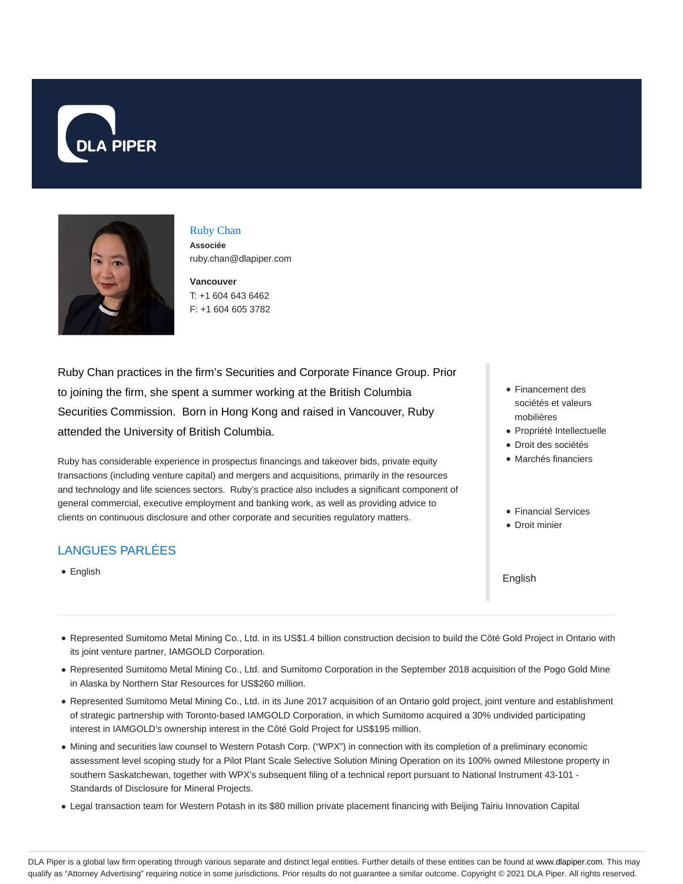



# Ruby Chan

**Associée** ruby.chan@dlapiper.com

**Vancouver** T: +1 604 643 6462 F: +1 604 605 3782

Ruby Chan practices in the firm's Securities and Corporate Finance Group. Prior to joining the firm, she spent a summer working at the British Columbia Securities Commission. Born in Hong Kong and raised in Vancouver, Ruby attended the University of British Columbia.

Ruby has considerable experience in prospectus financings and takeover bids, private equity transactions (including venture capital) and mergers and acquisitions, primarily in the resources and technology and life sciences sectors. Ruby's practice also includes a significant component of general commercial, executive employment and banking work, as well as providing advice to clients on continuous disclosure and other corporate and securities regulatory matters.

# LANGUES PARLÉES

English

- Financement des sociétés et valeurs mobilières
- Propriété Intellectuelle
- Droit des sociétés
- Marchés financiers
- Financial Services
- Droit minier

#### English

- Represented Sumitomo Metal Mining Co., Ltd. in its US\$1.4 billion construction decision to build the Côté Gold Project in Ontario with its joint venture partner, IAMGOLD Corporation.
- Represented Sumitomo Metal Mining Co., Ltd. and Sumitomo Corporation in the September 2018 acquisition of the Pogo Gold Mine in Alaska by Northern Star Resources for US\$260 million.
- Represented Sumitomo Metal Mining Co., Ltd. in its June 2017 acquisition of an Ontario gold project, joint venture and establishment of strategic partnership with Toronto-based IAMGOLD Corporation, in which Sumitomo acquired a 30% undivided participating interest in IAMGOLD's ownership interest in the Côté Gold Project for US\$195 million.
- Mining and securities law counsel to Western Potash Corp. ("WPX") in connection with its completion of a preliminary economic assessment level scoping study for a Pilot Plant Scale Selective Solution Mining Operation on its 100% owned Milestone property in southern Saskatchewan, together with WPX's subsequent filing of a technical report pursuant to National Instrument 43-101 - Standards of Disclosure for Mineral Projects.
- Legal transaction team for Western Potash in its \$80 million private placement financing with Beijing Tairiu Innovation Capital